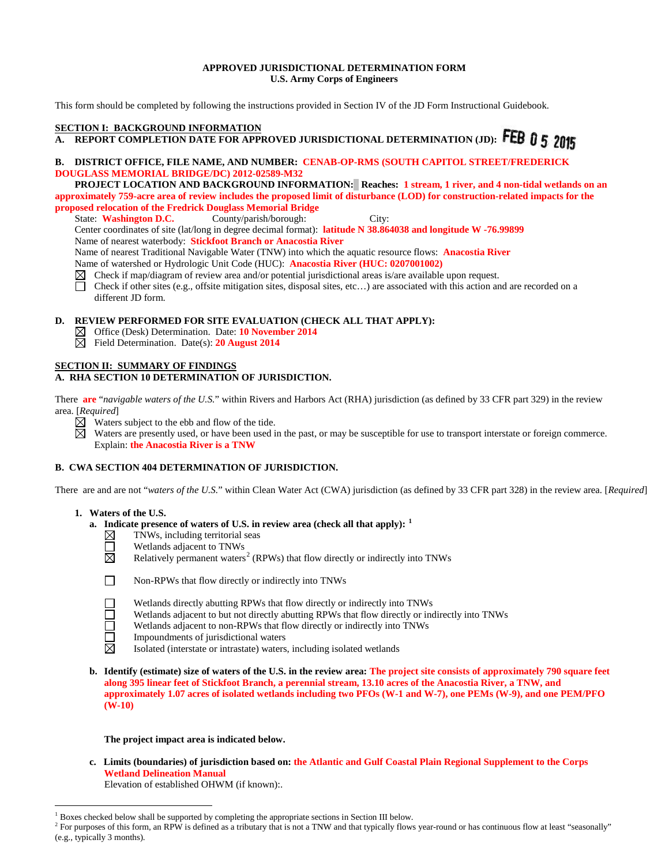# **APPROVED JURISDICTIONAL DETERMINATION FORM U.S. Army Corps of Engineers**

This form should be completed by following the instructions provided in Section IV of the JD Form Instructional Guidebook.

# **SECTION I: BACKGROUND INFORMATION**

# **A. REPORT COMPLETION DATE FOR APPROVED JURISDICTIONAL DETERMINATION (JD):** FEB 0 5 2015

# **B. DISTRICT OFFICE, FILE NAME, AND NUMBER: CENAB-OP-RMS (SOUTH CAPITOL STREET/FREDERICK DOUGLASS MEMORIAL BRIDGE/DC) 2012-02589-M32**

 **PROJECT LOCATION AND BACKGROUND INFORMATION: Reaches: 1 stream, 1 river, and 4 non-tidal wetlands on an approximately 759-acre area of review includes the proposed limit of disturbance (LOD) for construction-related impacts for the proposed relocation of the Fredrick Douglass Memorial Bridge**<br>State: Washington D.C. County/parish/borough:

State: **Washington D.C.** County/parish/borough: City: Center coordinates of site (lat/long in degree decimal format): **latitude N 38.864038 and longitude W -76.99899** Name of nearest waterbody: **Stickfoot Branch or Anacostia River** Name of nearest Traditional Navigable Water (TNW) into which the aquatic resource flows: **Anacostia River**

- Name of watershed or Hydrologic Unit Code (HUC): **Anacostia River (HUC: 0207001002)** Check if map/diagram of review area and/or potential jurisdictional areas is/are available upon request.
- Check if other sites (e.g., offsite mitigation sites, disposal sites, etc…) are associated with this action and are recorded on a П different JD form.

# **D. REVIEW PERFORMED FOR SITE EVALUATION (CHECK ALL THAT APPLY):**

- Office (Desk) Determination. Date: **10 November 2014**
- Field Determination. Date(s): **20 August 2014**

# **SECTION II: SUMMARY OF FINDINGS**

# **A. RHA SECTION 10 DETERMINATION OF JURISDICTION.**

There **are** "*navigable waters of the U.S.*" within Rivers and Harbors Act (RHA) jurisdiction (as defined by 33 CFR part 329) in the review area. [*Required*]

 $\boxtimes$  Waters subject to the ebb and flow of the tide.

⊠ Waters are presently used, or have been used in the past, or may be susceptible for use to transport interstate or foreign commerce. Explain: **the Anacostia River is a TNW**

# **B. CWA SECTION 404 DETERMINATION OF JURISDICTION.**

There are and are not "*waters of the U.S.*" within Clean Water Act (CWA) jurisdiction (as defined by 33 CFR part 328) in the review area. [*Required*]

# **1. Waters of the U.S.**

- **a.** Indicate presence of waters of U.S. in review area (check all that apply):  $\frac{1}{2}$  $\frac{1}{2}$  $\frac{1}{2}$  TNWs, including territorial seas
	- TNWs, including territorial seas
		-
- $\Box$  **Wetlands adjacent to TNWs**<br> $\boxtimes$  **<b>Relatively permanent waters** Relatively permanent waters<sup>[2](#page-0-1)</sup> (RPWs) that flow directly or indirectly into TNWs



 $\overline{a}$ 

- **1** Non-RPWs that flow directly or indirectly into TNWs
	- Wetlands directly abutting RPWs that flow directly or indirectly into TNWs
	- Wetlands adjacent to but not directly abutting RPWs that flow directly or indirectly into TNWs
	- Wetlands adjacent to non-RPWs that flow directly or indirectly into TNWs
- **1** Impoundments of jurisdictional waters  $\boxtimes$  Isolated (interstate or intrastate) waters
	- Isolated (interstate or intrastate) waters, including isolated wetlands
- **b. Identify (estimate) size of waters of the U.S. in the review area: The project site consists of approximately 790 square feet along 395 linear feet of Stickfoot Branch, a perennial stream, 13.10 acres of the Anacostia River, a TNW, and approximately 1.07 acres of isolated wetlands including two PFOs (W-1 and W-7), one PEMs (W-9), and one PEM/PFO (W-10)**

# **The project impact area is indicated below.**

**c. Limits (boundaries) of jurisdiction based on: the Atlantic and Gulf Coastal Plain Regional Supplement to the Corps Wetland Delineation Manual**

Elevation of established OHWM (if known):.

 $<sup>1</sup>$  Boxes checked below shall be supported by completing the appropriate sections in Section III below.</sup>

<span id="page-0-1"></span><span id="page-0-0"></span><sup>&</sup>lt;sup>2</sup> For purposes of this form, an RPW is defined as a tributary that is not a TNW and that typically flows year-round or has continuous flow at least "seasonally" (e.g., typically 3 months).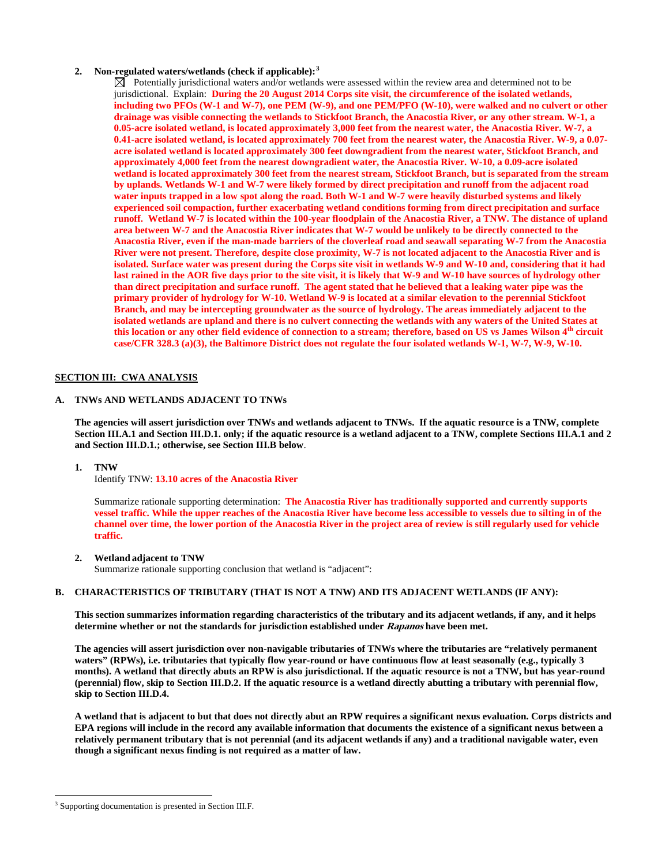# **2. Non-regulated waters/wetlands (check if applicable): [3](#page-1-0)**

 $\boxtimes$  Potentially jurisdictional waters and/or wetlands were assessed within the review area and determined not to be jurisdictional. Explain: **During the 20 August 2014 Corps site visit, the circumference of the isolated wetlands, including two PFOs (W-1 and W-7), one PEM (W-9), and one PEM/PFO (W-10), were walked and no culvert or other drainage was visible connecting the wetlands to Stickfoot Branch, the Anacostia River, or any other stream. W-1, a 0.05-acre isolated wetland, is located approximately 3,000 feet from the nearest water, the Anacostia River. W-7, a 0.41-acre isolated wetland, is located approximately 700 feet from the nearest water, the Anacostia River. W-9, a 0.07 acre isolated wetland is located approximately 300 feet downgradient from the nearest water, Stickfoot Branch, and approximately 4,000 feet from the nearest downgradient water, the Anacostia River. W-10, a 0.09-acre isolated wetland is located approximately 300 feet from the nearest stream, Stickfoot Branch, but is separated from the stream by uplands. Wetlands W-1 and W-7 were likely formed by direct precipitation and runoff from the adjacent road water inputs trapped in a low spot along the road. Both W-1 and W-7 were heavily disturbed systems and likely experienced soil compaction, further exacerbating wetland conditions forming from direct precipitation and surface runoff. Wetland W-7 is located within the 100-year floodplain of the Anacostia River, a TNW. The distance of upland area between W-7 and the Anacostia River indicates that W-7 would be unlikely to be directly connected to the Anacostia River, even if the man-made barriers of the cloverleaf road and seawall separating W-7 from the Anacostia River were not present. Therefore, despite close proximity, W-7 is not located adjacent to the Anacostia River and is isolated. Surface water was present during the Corps site visit in wetlands W-9 and W-10 and, considering that it had last rained in the AOR five days prior to the site visit, it is likely that W-9 and W-10 have sources of hydrology other than direct precipitation and surface runoff. The agent stated that he believed that a leaking water pipe was the primary provider of hydrology for W-10. Wetland W-9 is located at a similar elevation to the perennial Stickfoot Branch, and may be intercepting groundwater as the source of hydrology. The areas immediately adjacent to the isolated wetlands are upland and there is no culvert connecting the wetlands with any waters of the United States at this location or any other field evidence of connection to a stream; therefore, based on US vs James Wilson 4th circuit case/CFR 328.3 (a)(3), the Baltimore District does not regulate the four isolated wetlands W-1, W-7, W-9, W-10.** 

# **SECTION III: CWA ANALYSIS**

# **A. TNWs AND WETLANDS ADJACENT TO TNWs**

**The agencies will assert jurisdiction over TNWs and wetlands adjacent to TNWs. If the aquatic resource is a TNW, complete Section III.A.1 and Section III.D.1. only; if the aquatic resource is a wetland adjacent to a TNW, complete Sections III.A.1 and 2 and Section III.D.1.; otherwise, see Section III.B below**.

**1. TNW** 

Identify TNW: **13.10 acres of the Anacostia River**

Summarize rationale supporting determination: **The Anacostia River has traditionally supported and currently supports vessel traffic. While the upper reaches of the Anacostia River have become less accessible to vessels due to silting in of the channel over time, the lower portion of the Anacostia River in the project area of review is still regularly used for vehicle traffic.** 

### **2. Wetland adjacent to TNW**

Summarize rationale supporting conclusion that wetland is "adjacent":

### **B. CHARACTERISTICS OF TRIBUTARY (THAT IS NOT A TNW) AND ITS ADJACENT WETLANDS (IF ANY):**

**This section summarizes information regarding characteristics of the tributary and its adjacent wetlands, if any, and it helps determine whether or not the standards for jurisdiction established under Rapanos have been met.** 

**The agencies will assert jurisdiction over non-navigable tributaries of TNWs where the tributaries are "relatively permanent waters" (RPWs), i.e. tributaries that typically flow year-round or have continuous flow at least seasonally (e.g., typically 3 months). A wetland that directly abuts an RPW is also jurisdictional. If the aquatic resource is not a TNW, but has year-round (perennial) flow, skip to Section III.D.2. If the aquatic resource is a wetland directly abutting a tributary with perennial flow, skip to Section III.D.4.**

**A wetland that is adjacent to but that does not directly abut an RPW requires a significant nexus evaluation. Corps districts and EPA regions will include in the record any available information that documents the existence of a significant nexus between a relatively permanent tributary that is not perennial (and its adjacent wetlands if any) and a traditional navigable water, even though a significant nexus finding is not required as a matter of law.**

<span id="page-1-0"></span><sup>&</sup>lt;sup>3</sup> Supporting documentation is presented in Section III.F.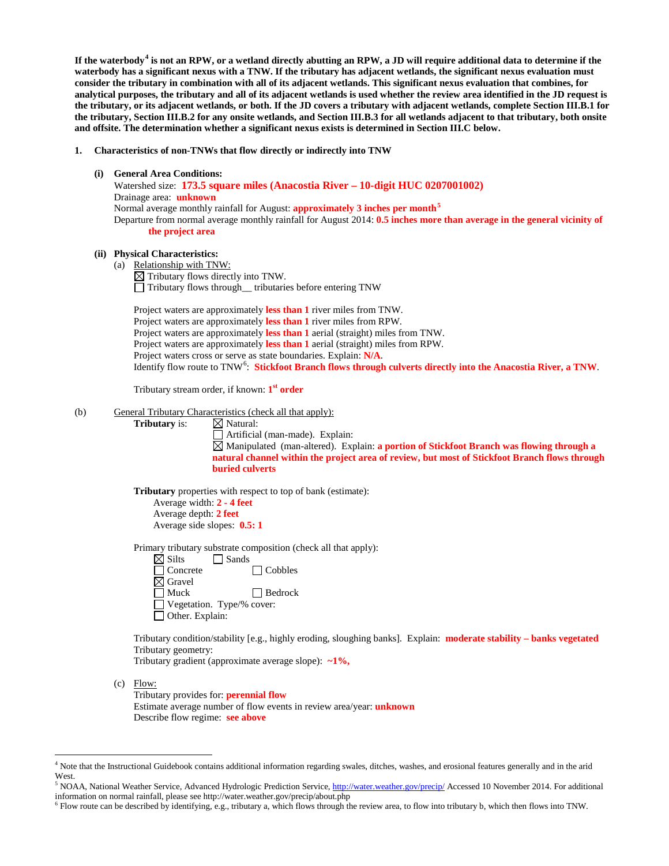**If the waterbody[4](#page-2-0) is not an RPW, or a wetland directly abutting an RPW, a JD will require additional data to determine if the waterbody has a significant nexus with a TNW. If the tributary has adjacent wetlands, the significant nexus evaluation must consider the tributary in combination with all of its adjacent wetlands. This significant nexus evaluation that combines, for analytical purposes, the tributary and all of its adjacent wetlands is used whether the review area identified in the JD request is the tributary, or its adjacent wetlands, or both. If the JD covers a tributary with adjacent wetlands, complete Section III.B.1 for the tributary, Section III.B.2 for any onsite wetlands, and Section III.B.3 for all wetlands adjacent to that tributary, both onsite and offsite. The determination whether a significant nexus exists is determined in Section III.C below.**

#### **1. Characteristics of non-TNWs that flow directly or indirectly into TNW**

**(i) General Area Conditions:**

 Watershed size: **173.5 square miles (Anacostia River – 10-digit HUC 0207001002)** Drainage area: **unknown** Normal average monthly rainfall for August: **approximately 3 inches per month[5](#page-2-1)** Departure from normal average monthly rainfall for August 2014: **0.5 inches more than average in the general vicinity of the project area**

# **(ii) Physical Characteristics:**

(a) Relationship with TNW:  $\boxtimes$  Tributary flows directly into TNW. Tributary flows through\_\_ tributaries before entering TNW

Project waters are approximately **less than 1** river miles from TNW. Project waters are approximately **less than 1** river miles from RPW. Project waters are approximately **less than 1** aerial (straight) miles from TNW. Project waters are approximately **less than 1** aerial (straight) miles from RPW. Project waters cross or serve as state boundaries. Explain: **N/A**. Identify flow route to TNW<sup>[6](#page-2-2)</sup>: Stickfoot Branch flows through culverts directly into the Anacostia River, a TNW.

Tributary stream order, if known: **1st order**

#### (b) General Tributary Characteristics (check all that apply):

**Tributary** is: ⊠ Natural:

Artificial (man-made). Explain: Manipulated (man-altered). Explain: **a portion of Stickfoot Branch was flowing through a natural channel within the project area of review, but most of Stickfoot Branch flows through buried culverts**

**Tributary** properties with respect to top of bank (estimate):

Average width: **2 - 4 feet** Average depth: **2 feet** Average side slopes: **0.5: 1**

Primary tributary substrate composition (check all that apply):

| $\boxtimes$ Silts                | Sands |                |
|----------------------------------|-------|----------------|
| $\Box$ Concrete                  |       | $\Box$ Cobbles |
| $\boxtimes$ Gravel               |       |                |
| $\Box$ Muck                      |       | $\Box$ Bedrock |
| $\Box$ Vegetation. Type/% cover: |       |                |
| $\Box$ Other. Explain:           |       |                |

Tributary condition/stability [e.g., highly eroding, sloughing banks]. Explain: **moderate stability – banks vegetated** Tributary geometry:

Tributary gradient (approximate average slope): **~1%,**

 $(c)$  Flow:

Tributary provides for: **perennial flow** Estimate average number of flow events in review area/year: **unknown** Describe flow regime: **see above**

<span id="page-2-0"></span> <sup>4</sup> Note that the Instructional Guidebook contains additional information regarding swales, ditches, washes, and erosional features generally and in the arid West.

<span id="page-2-1"></span><sup>&</sup>lt;sup>5</sup> NOAA, National Weather Service, Advanced Hydrologic Prediction Service[, http://water.weather.gov/precip/](http://water.weather.gov/precip/) Accessed 10 November 2014. For additional information on normal rainfall, please see http://water.weather.gov/precip/about.php

<span id="page-2-2"></span><sup>6</sup> Flow route can be described by identifying, e.g., tributary a, which flows through the review area, to flow into tributary b, which then flows into TNW.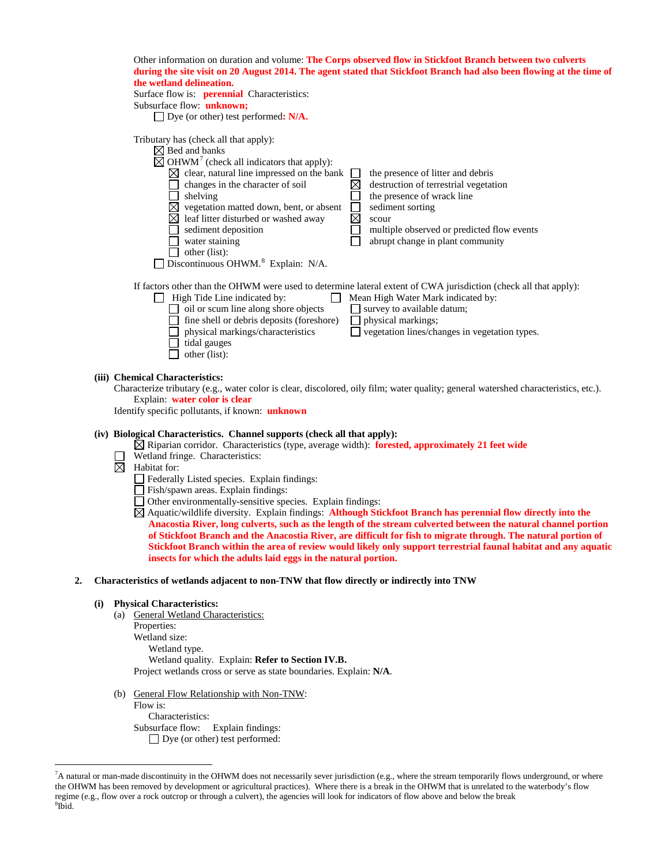| Other information on duration and volume: The Corps observed flow in Stickfoot Branch between two culverts           |
|----------------------------------------------------------------------------------------------------------------------|
| during the site visit on 20 August 2014. The agent stated that Stickfoot Branch had also been flowing at the time of |
| the wetland delineation.                                                                                             |

| Surface flow is: <b>perennial</b> Characteristics: |  |  |  |  |  |
|----------------------------------------------------|--|--|--|--|--|
| Subsurface flow: <b>unknown</b> ;                  |  |  |  |  |  |
|                                                    |  |  |  |  |  |

Dye (or other) test performed**: N/A.**

| Tributary has (check all that apply):                            |                                                                                                                  |
|------------------------------------------------------------------|------------------------------------------------------------------------------------------------------------------|
| $\boxtimes$ Bed and banks                                        |                                                                                                                  |
| $\boxtimes$ OHWM <sup>7</sup> (check all indicators that apply): |                                                                                                                  |
| clear, natural line impressed on the bank                        | the presence of litter and debris                                                                                |
| changes in the character of soil                                 | destruction of terrestrial vegetation                                                                            |
| shelving                                                         | the presence of wrack line                                                                                       |
| vegetation matted down, bent, or absent                          | sediment sorting                                                                                                 |
| leaf litter disturbed or washed away                             | scour                                                                                                            |
| sediment deposition                                              | multiple observed or predicted flow events                                                                       |
| water staining                                                   | abrupt change in plant community                                                                                 |
| other (list):                                                    |                                                                                                                  |
| Discontinuous OHWM. <sup>8</sup> Explain: N/A.                   |                                                                                                                  |
|                                                                  |                                                                                                                  |
|                                                                  | If factors other than the OHWM were used to determine lateral extent of CWA jurisdiction (check all that apply): |
| High Tide Line indicated by:                                     | Mean High Water Mark indicated by:                                                                               |
| oil or scum line along shore objects                             | survey to available datum;                                                                                       |

oil or scum line along shore objects  $\Box$  survey to available datum;  $\Box$  fine shell or debris deposits (foreshore)  $\Box$  physical markings; physical markings/characteristics vegetation lines/changes in vegetation types. tidal gauges  $\Box$  other (list):

# **(iii) Chemical Characteristics:**

Characterize tributary (e.g., water color is clear, discolored, oily film; water quality; general watershed characteristics, etc.). Explain: **water color is clear** 

Identify specific pollutants, if known: **unknown**

# **(iv) Biological Characteristics. Channel supports (check all that apply):**

- Riparian corridor. Characteristics (type, average width): **forested, approximately 21 feet wide**
- Wetland fringe. Characteristics:
- $\overline{\boxtimes}$  Habitat for:
	- Federally Listed species. Explain findings:
	- Fish/spawn areas. Explain findings:
	- Other environmentally-sensitive species. Explain findings:
	- Aquatic/wildlife diversity. Explain findings: **Although Stickfoot Branch has perennial flow directly into the Anacostia River, long culverts, such as the length of the stream culverted between the natural channel portion of Stickfoot Branch and the Anacostia River, are difficult for fish to migrate through. The natural portion of Stickfoot Branch within the area of review would likely only support terrestrial faunal habitat and any aquatic insects for which the adults laid eggs in the natural portion.**
- **2. Characteristics of wetlands adjacent to non-TNW that flow directly or indirectly into TNW**

# **(i) Physical Characteristics:**

- (a) General Wetland Characteristics: Properties: Wetland size: Wetland type. Wetland quality. Explain: **Refer to Section IV.B.** Project wetlands cross or serve as state boundaries. Explain: **N/A**.
- (b) General Flow Relationship with Non-TNW:

Flow is: Characteristics: Subsurface flow:Explain findings: Dye (or other) test performed:

<span id="page-3-1"></span><span id="page-3-0"></span><sup>-&</sup>lt;br>7 <sup>7</sup>A natural or man-made discontinuity in the OHWM does not necessarily sever jurisdiction (e.g., where the stream temporarily flows underground, or where the OHWM has been removed by development or agricultural practices). Where there is a break in the OHWM that is unrelated to the waterbody's flow regime (e.g., flow over a rock outcrop or through a culvert), the agencies will look for indicators of flow above and below the break <sup>8</sup>  $^8$ Ibid.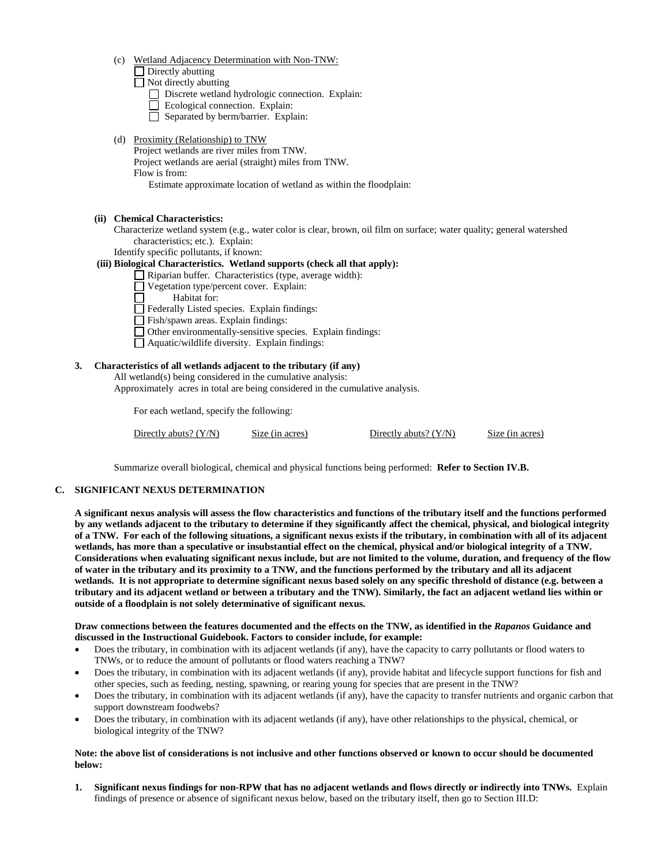(c) Wetland Adjacency Determination with Non-TNW:

Directly abutting

Not directly abutting

Discrete wetland hydrologic connection. Explain:

- Ecological connection. Explain:
- $\Box$  Separated by berm/barrier. Explain:
- (d) Proximity (Relationship) to TNW

Project wetlands are river miles from TNW. Project wetlands are aerial (straight) miles from TNW. Flow is from:

Estimate approximate location of wetland as within the floodplain:

**(ii) Chemical Characteristics:**

- Characterize wetland system (e.g., water color is clear, brown, oil film on surface; water quality; general watershed characteristics; etc.). Explain:
- Identify specific pollutants, if known:

# **(iii) Biological Characteristics. Wetland supports (check all that apply):**

 $\Box$  Riparian buffer. Characteristics (type, average width):

- Vegetation type/percent cover. Explain:
- Habitat for:
- $\Box$  Federally Listed species. Explain findings:
- Fish/spawn areas. Explain findings:
- Other environmentally-sensitive species. Explain findings:
- Aquatic/wildlife diversity. Explain findings:

# **3. Characteristics of all wetlands adjacent to the tributary (if any)**

All wetland(s) being considered in the cumulative analysis:

Approximately acres in total are being considered in the cumulative analysis.

For each wetland, specify the following:

Directly abuts? (Y/N) Size (in acres) Directly abuts? (Y/N) Size (in acres)

Summarize overall biological, chemical and physical functions being performed: **Refer to Section IV.B.**

# **C. SIGNIFICANT NEXUS DETERMINATION**

**A significant nexus analysis will assess the flow characteristics and functions of the tributary itself and the functions performed by any wetlands adjacent to the tributary to determine if they significantly affect the chemical, physical, and biological integrity of a TNW. For each of the following situations, a significant nexus exists if the tributary, in combination with all of its adjacent wetlands, has more than a speculative or insubstantial effect on the chemical, physical and/or biological integrity of a TNW. Considerations when evaluating significant nexus include, but are not limited to the volume, duration, and frequency of the flow of water in the tributary and its proximity to a TNW, and the functions performed by the tributary and all its adjacent wetlands. It is not appropriate to determine significant nexus based solely on any specific threshold of distance (e.g. between a tributary and its adjacent wetland or between a tributary and the TNW). Similarly, the fact an adjacent wetland lies within or outside of a floodplain is not solely determinative of significant nexus.** 

### **Draw connections between the features documented and the effects on the TNW, as identified in the** *Rapanos* **Guidance and discussed in the Instructional Guidebook. Factors to consider include, for example:**

- Does the tributary, in combination with its adjacent wetlands (if any), have the capacity to carry pollutants or flood waters to TNWs, or to reduce the amount of pollutants or flood waters reaching a TNW?
- Does the tributary, in combination with its adjacent wetlands (if any), provide habitat and lifecycle support functions for fish and other species, such as feeding, nesting, spawning, or rearing young for species that are present in the TNW?
- Does the tributary, in combination with its adjacent wetlands (if any), have the capacity to transfer nutrients and organic carbon that support downstream foodwebs?
- Does the tributary, in combination with its adjacent wetlands (if any), have other relationships to the physical, chemical, or biological integrity of the TNW?

# **Note: the above list of considerations is not inclusive and other functions observed or known to occur should be documented below:**

**1. Significant nexus findings for non-RPW that has no adjacent wetlands and flows directly or indirectly into TNWs.** Explain findings of presence or absence of significant nexus below, based on the tributary itself, then go to Section III.D: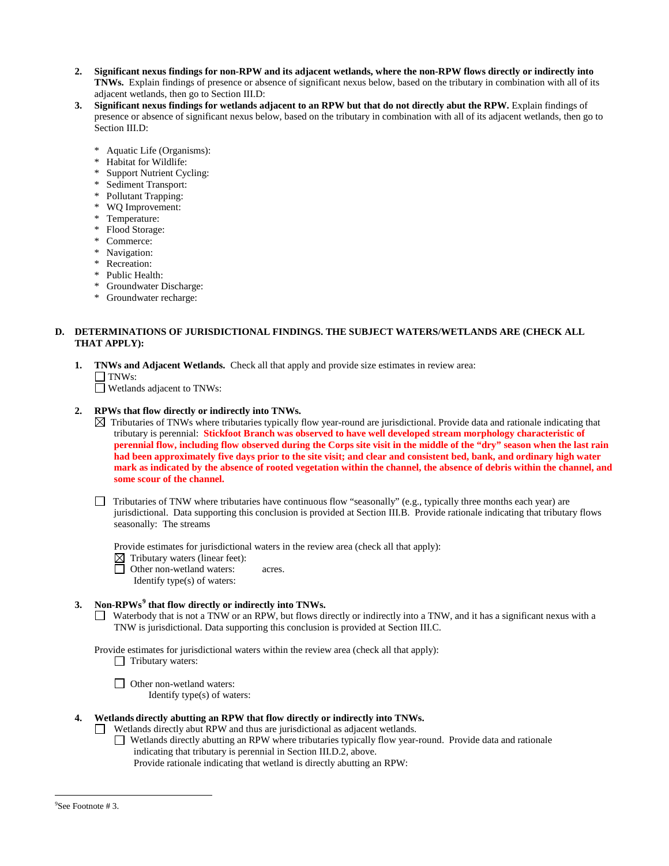- **2. Significant nexus findings for non-RPW and its adjacent wetlands, where the non-RPW flows directly or indirectly into TNWs.** Explain findings of presence or absence of significant nexus below, based on the tributary in combination with all of its adjacent wetlands, then go to Section III.D:
- **3. Significant nexus findings for wetlands adjacent to an RPW but that do not directly abut the RPW.** Explain findings of presence or absence of significant nexus below, based on the tributary in combination with all of its adjacent wetlands, then go to Section III.D:
	- \* Aquatic Life (Organisms):
	- Habitat for Wildlife:
	- Support Nutrient Cycling:
	- Sediment Transport:
	- Pollutant Trapping:
	- WQ Improvement:
	- Temperature:
	- \* Flood Storage:
	- Commerce:
	- \* Navigation:
	- \* Recreation:
	- \* Public Health:
	- \* Groundwater Discharge:
	- \* Groundwater recharge:

# **D. DETERMINATIONS OF JURISDICTIONAL FINDINGS. THE SUBJECT WATERS/WETLANDS ARE (CHECK ALL THAT APPLY):**

- **1. TNWs and Adjacent Wetlands.** Check all that apply and provide size estimates in review area:  $\Box$  TNWs:
	- Wetlands adjacent to TNWs:

# **2. RPWs that flow directly or indirectly into TNWs.**

- $\boxtimes$  Tributaries of TNWs where tributaries typically flow year-round are jurisdictional. Provide data and rationale indicating that tributary is perennial: **Stickfoot Branch was observed to have well developed stream morphology characteristic of perennial flow, including flow observed during the Corps site visit in the middle of the "dry" season when the last rain had been approximately five days prior to the site visit; and clear and consistent bed, bank, and ordinary high water mark as indicated by the absence of rooted vegetation within the channel, the absence of debris within the channel, and some scour of the channel.**
- $\Box$  Tributaries of TNW where tributaries have continuous flow "seasonally" (e.g., typically three months each year) are jurisdictional. Data supporting this conclusion is provided at Section III.B. Provide rationale indicating that tributary flows seasonally: The streams

Provide estimates for jurisdictional waters in the review area (check all that apply):

- $\boxtimes$  Tributary waters (linear feet):
- □ Other non-wetland waters: acres.
	- Identify type(s) of waters:

# **3. Non-RPWs[9](#page-5-0) that flow directly or indirectly into TNWs.**

Waterbody that is not a TNW or an RPW, but flows directly or indirectly into a TNW, and it has a significant nexus with a TNW is jurisdictional. Data supporting this conclusion is provided at Section III.C.

Provide estimates for jurisdictional waters within the review area (check all that apply):

- $\Box$  Tributary waters:
- □ Other non-wetland waters: Identify type(s) of waters:

# **4. Wetlands directly abutting an RPW that flow directly or indirectly into TNWs.**

- Wetlands directly abut RPW and thus are jurisdictional as adjacent wetlands.  $\perp$ 
	- Wetlands directly abutting an RPW where tributaries typically flow year-round. Provide data and rationale indicating that tributary is perennial in Section III.D.2, above.

Provide rationale indicating that wetland is directly abutting an RPW:

<span id="page-5-0"></span><sup>-&</sup>lt;br>9  $\mathrm{P}^9$ See Footnote # 3.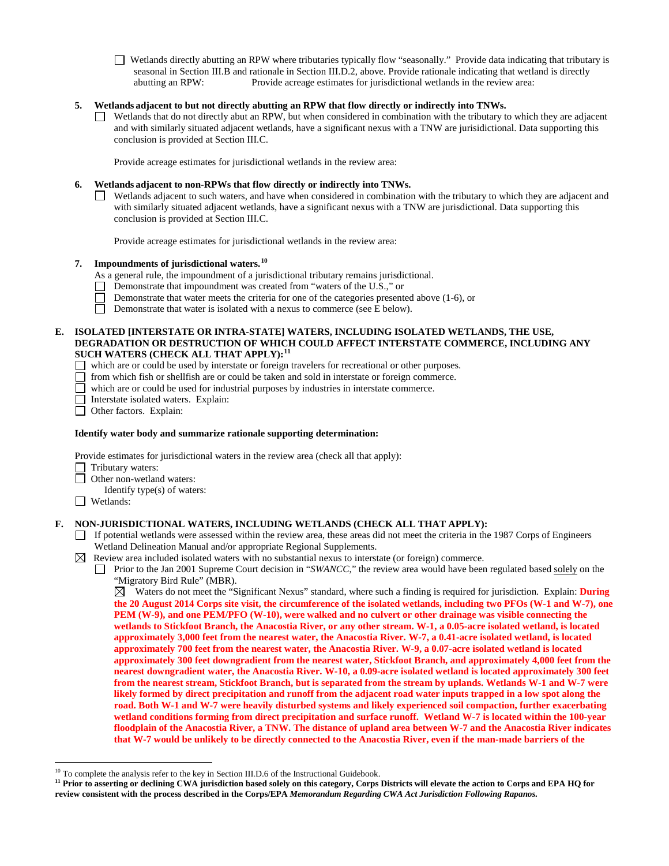Wetlands directly abutting an RPW where tributaries typically flow "seasonally." Provide data indicating that tributary is seasonal in Section III.B and rationale in Section III.D.2, above. Provide rationale indicating that wetland is directly abutting an RPW: Provide acreage estimates for jurisdictional wetlands in the review area:

# **5. Wetlands adjacent to but not directly abutting an RPW that flow directly or indirectly into TNWs.**

Wetlands that do not directly abut an RPW, but when considered in combination with the tributary to which they are adjacent and with similarly situated adjacent wetlands, have a significant nexus with a TNW are jurisidictional. Data supporting this conclusion is provided at Section III.C.

Provide acreage estimates for jurisdictional wetlands in the review area:

### **6. Wetlands adjacent to non-RPWs that flow directly or indirectly into TNWs.**

Wetlands adjacent to such waters, and have when considered in combination with the tributary to which they are adjacent and with similarly situated adjacent wetlands, have a significant nexus with a TNW are jurisdictional. Data supporting this conclusion is provided at Section III.C.

Provide acreage estimates for jurisdictional wetlands in the review area:

### **7. Impoundments of jurisdictional waters.[10](#page-6-0)**

As a general rule, the impoundment of a jurisdictional tributary remains jurisdictional.

- $\Box$  Demonstrate that impoundment was created from "waters of the U.S.," or
- Demonstrate that water meets the criteria for one of the categories presented above (1-6), or П
- $\Box$ Demonstrate that water is isolated with a nexus to commerce (see E below).

### **E. ISOLATED [INTERSTATE OR INTRA-STATE] WATERS, INCLUDING ISOLATED WETLANDS, THE USE, DEGRADATION OR DESTRUCTION OF WHICH COULD AFFECT INTERSTATE COMMERCE, INCLUDING ANY SUCH WATERS (CHECK ALL THAT APPLY):[11](#page-6-1)**

which are or could be used by interstate or foreign travelers for recreational or other purposes.

- $\Box$  from which fish or shellfish are or could be taken and sold in interstate or foreign commerce.
- which are or could be used for industrial purposes by industries in interstate commerce.
- Interstate isolated waters.Explain:
- Other factors.Explain:

### **Identify water body and summarize rationale supporting determination:**

Provide estimates for jurisdictional waters in the review area (check all that apply):

- Tributary waters:
- □ Other non-wetland waters:
- Identify type(s) of waters:
- Wetlands:

### **F. NON-JURISDICTIONAL WATERS, INCLUDING WETLANDS (CHECK ALL THAT APPLY):**

If potential wetlands were assessed within the review area, these areas did not meet the criteria in the 1987 Corps of Engineers Wetland Delineation Manual and/or appropriate Regional Supplements.

### $\boxtimes$  Review area included isolated waters with no substantial nexus to interstate (or foreign) commerce.

Prior to the Jan 2001 Supreme Court decision in "*SWANCC*," the review area would have been regulated based solely on the "Migratory Bird Rule" (MBR).

 $\boxtimes$  Waters do not meet the "Significant Nexus" standard, where such a finding is required for jurisdiction. Explain: **During the 20 August 2014 Corps site visit, the circumference of the isolated wetlands, including two PFOs (W-1 and W-7), one PEM (W-9), and one PEM/PFO (W-10), were walked and no culvert or other drainage was visible connecting the wetlands to Stickfoot Branch, the Anacostia River, or any other stream. W-1, a 0.05-acre isolated wetland, is located approximately 3,000 feet from the nearest water, the Anacostia River. W-7, a 0.41-acre isolated wetland, is located approximately 700 feet from the nearest water, the Anacostia River. W-9, a 0.07-acre isolated wetland is located approximately 300 feet downgradient from the nearest water, Stickfoot Branch, and approximately 4,000 feet from the nearest downgradient water, the Anacostia River. W-10, a 0.09-acre isolated wetland is located approximately 300 feet from the nearest stream, Stickfoot Branch, but is separated from the stream by uplands. Wetlands W-1 and W-7 were likely formed by direct precipitation and runoff from the adjacent road water inputs trapped in a low spot along the road. Both W-1 and W-7 were heavily disturbed systems and likely experienced soil compaction, further exacerbating wetland conditions forming from direct precipitation and surface runoff. Wetland W-7 is located within the 100-year floodplain of the Anacostia River, a TNW. The distance of upland area between W-7 and the Anacostia River indicates that W-7 would be unlikely to be directly connected to the Anacostia River, even if the man-made barriers of the** 

<span id="page-6-0"></span><sup>&</sup>lt;sup>10</sup> To complete the analysis refer to the key in Section III.D.6 of the Instructional Guidebook.

<span id="page-6-1"></span>**<sup>11</sup> Prior to asserting or declining CWA jurisdiction based solely on this category, Corps Districts will elevate the action to Corps and EPA HQ for review consistent with the process described in the Corps/EPA** *Memorandum Regarding CWA Act Jurisdiction Following Rapanos.*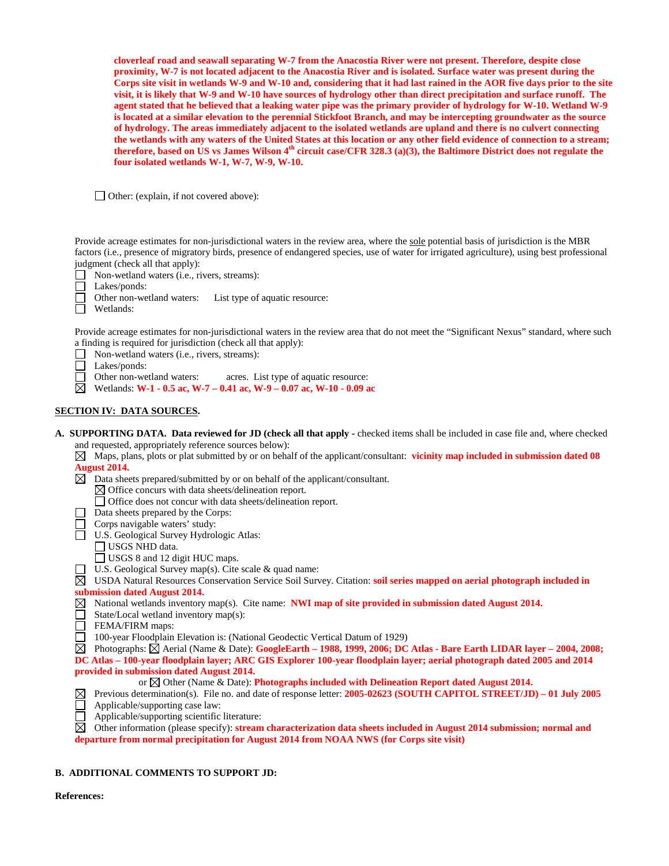**cloverleaf road and seawall separating W-7 from the Anacostia River were not present. Therefore, despite close proximity, W-7 is not located adjacent to the Anacostia River and is isolated. Surface water was present during the Corps site visit in wetlands W-9 and W-10 and, considering that it had last rained in the AOR five days prior to the site visit, it is likely that W-9 and W-10 have sources of hydrology other than direct precipitation and surface runoff. The agent stated that he believed that a leaking water pipe was the primary provider of hydrology for W-10. Wetland W-9 is located at a similar elevation to the perennial Stickfoot Branch, and may be intercepting groundwater as the source of hydrology. The areas immediately adjacent to the isolated wetlands are upland and there is no culvert connecting the wetlands with any waters of the United States at this location or any other field evidence of connection to a stream; therefore, based on US vs James Wilson 4th circuit case/CFR 328.3 (a)(3), the Baltimore District does not regulate the four isolated wetlands W-1, W-7, W-9, W-10.** 

□ Other: (explain, if not covered above):

Provide acreage estimates for non-jurisdictional waters in the review area, where the sole potential basis of jurisdiction is the MBR factors (i.e., presence of migratory birds, presence of endangered species, use of water for irrigated agriculture), using best professional judgment (check all that apply):

|  | Non-wetland waters ( <i>i.e.</i> , rivers, streams): |  |  |  |  |  |
|--|------------------------------------------------------|--|--|--|--|--|
|--|------------------------------------------------------|--|--|--|--|--|

Lakes/ponds:

Other non-wetland waters: List type of aquatic resource:

Wetlands:

П

Provide acreage estimates for non-jurisdictional waters in the review area that do not meet the "Significant Nexus" standard, where such a finding is required for jurisdiction (check all that apply):

- Non-wetland waters (i.e., rivers, streams):  $\Box$
- □ Lakes/ponds:
- □ Other non-wetland waters: acres. List type of aquatic resource:
- Wetlands: **W-1 - 0.5 ac, W-7 – 0.41 ac, W-9 – 0.07 ac, W-10 - 0.09 ac**

# **SECTION IV: DATA SOURCES.**

- **A. SUPPORTING DATA. Data reviewed for JD (check all that apply -** checked items shall be included in case file and, where checked and requested, appropriately reference sources below):
	- $\boxtimes$  Maps, plans, plots or plat submitted by or on behalf of the applicant/consultant: **vicinity map included in submission dated 08 August 2014.**
	- $\boxtimes$  Data sheets prepared/submitted by or on behalf of the applicant/consultant.
		- $\boxtimes$  Office concurs with data sheets/delineation report.
		- Office does not concur with data sheets/delineation report.
	- Data sheets prepared by the Corps:
	- Corps navigable waters' study:
	- U.S. Geological Survey Hydrologic Atlas:
		- USGS NHD data.
		- USGS 8 and 12 digit HUC maps.
	- $\Box$  U.S. Geological Survey map(s). Cite scale & quad name:

USDA Natural Resources Conservation Service Soil Survey. Citation: **soil series mapped on aerial photograph included in submission dated August 2014.**

- National wetlands inventory map(s). Cite name: **NWI map of site provided in submission dated August 2014.**
- $\Box$ State/Local wetland inventory map(s):
- FEMA/FIRM maps:
- 100-year Floodplain Elevation is: (National Geodectic Vertical Datum of 1929)
- Photographs: Aerial (Name & Date): **GoogleEarth – 1988, 1999, 2006; DC Atlas - Bare Earth LIDAR layer – 2004, 2008; DC Atlas – 100-year floodplain layer; ARC GIS Explorer 100-year floodplain layer; aerial photograph dated 2005 and 2014**
- **provided in submission dated August 2014.**
	- or Other (Name & Date): **Photographs included with Delineation Report dated August 2014.**
- Previous determination(s). File no. and date of response letter: **2005-02623 (SOUTH CAPITOL STREET/JD) – 01 July 2005**  $\boxtimes$  $\Box$ Applicable/supporting case law:
- Applicable/supporting scientific literature:
- $\boxtimes$  Other information (please specify): **stream characterization data sheets included in August 2014 submission; normal and departure from normal precipitation for August 2014 from NOAA NWS (for Corps site visit)**

# **B. ADDITIONAL COMMENTS TO SUPPORT JD:**

**References:**